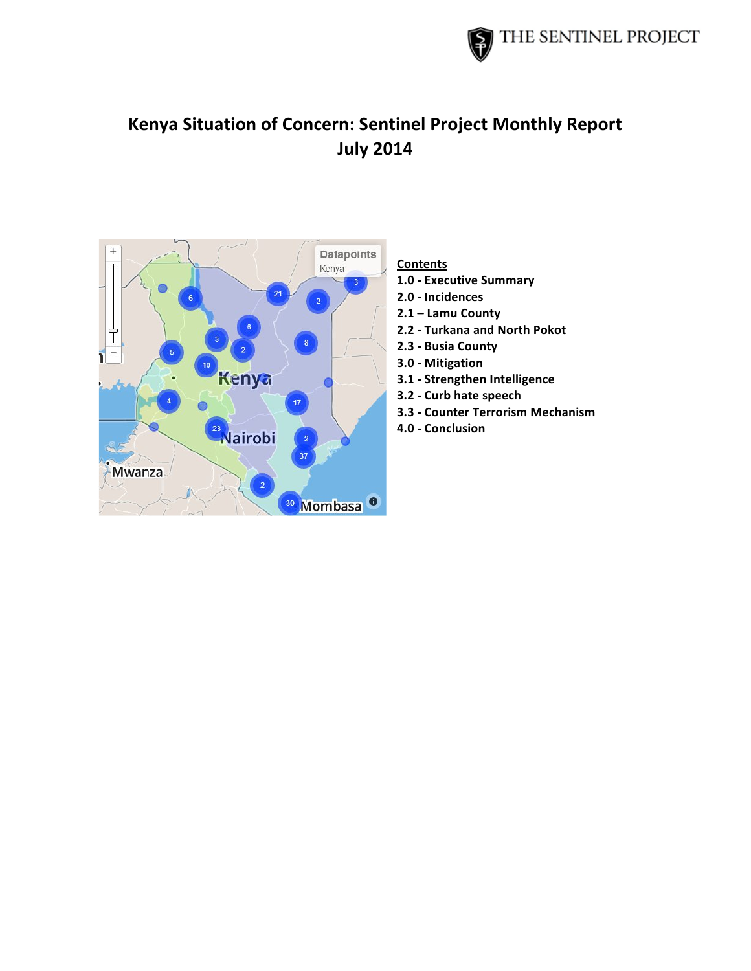

# **Kenya Situation of Concern: Sentinel Project Monthly Report July!2014**



# **Contents**

- **1.0!? Executive!Summary**
- **2.0 Incidences**
- 2.1 Lamu County
- **2.2 ? Turkana!and!North!Pokot**
- **2.3!? Busia!County**
- **3.0!? Mitigation**
- **3.1 Strengthen Intelligence**
- **3.2 Curb hate speech**
- **3.3 Counter Terrorism Mechanism**
- **4.0!? Conclusion**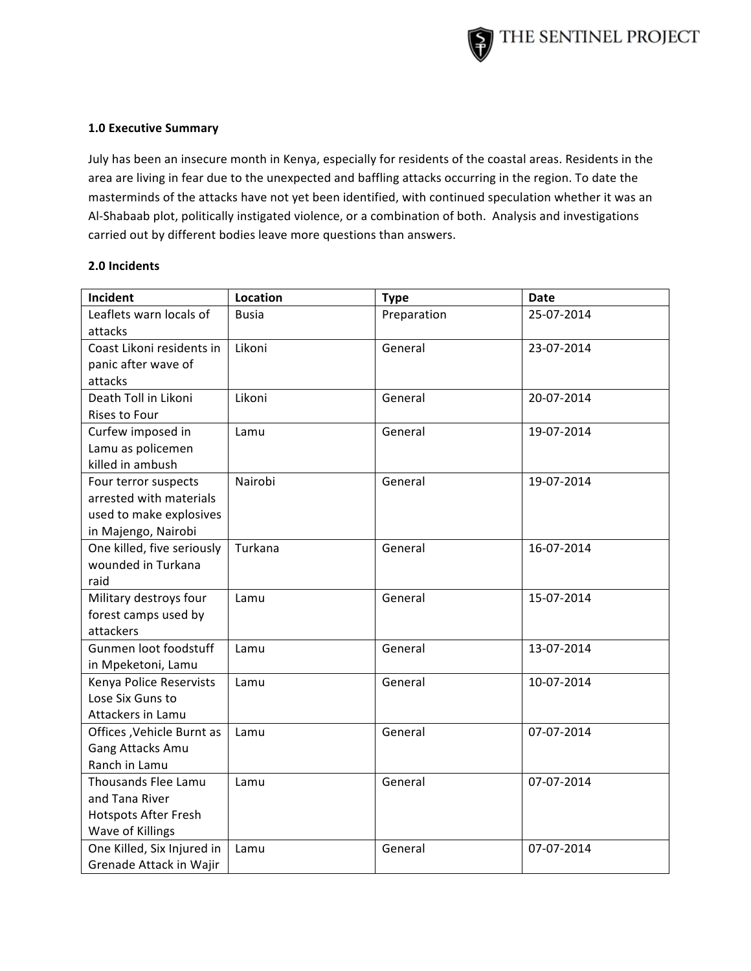

#### **1.0 Executive Summary**

July has been an insecure month in Kenya, especially for residents of the coastal areas. Residents in the area are living in fear due to the unexpected and baffling attacks occurring in the region. To date the masterminds of the attacks have not yet been identified, with continued speculation whether it was an Al-Shabaab plot, politically instigated violence, or a combination of both. Analysis and investigations carried out by different bodies leave more questions than answers.

#### **2.0!Incidents**

| Incident                    | <b>Location</b> | <b>Type</b> | Date       |
|-----------------------------|-----------------|-------------|------------|
| Leaflets warn locals of     | <b>Busia</b>    | Preparation | 25-07-2014 |
| attacks                     |                 |             |            |
| Coast Likoni residents in   | Likoni          | General     | 23-07-2014 |
| panic after wave of         |                 |             |            |
| attacks                     |                 |             |            |
| Death Toll in Likoni        | Likoni          | General     | 20-07-2014 |
| Rises to Four               |                 |             |            |
| Curfew imposed in           | Lamu            | General     | 19-07-2014 |
| Lamu as policemen           |                 |             |            |
| killed in ambush            |                 |             |            |
| Four terror suspects        | Nairobi         | General     | 19-07-2014 |
| arrested with materials     |                 |             |            |
| used to make explosives     |                 |             |            |
| in Majengo, Nairobi         |                 |             |            |
| One killed, five seriously  | Turkana         | General     | 16-07-2014 |
| wounded in Turkana          |                 |             |            |
| raid                        |                 |             |            |
| Military destroys four      | Lamu            | General     | 15-07-2014 |
| forest camps used by        |                 |             |            |
| attackers                   |                 |             |            |
| Gunmen loot foodstuff       | Lamu            | General     | 13-07-2014 |
| in Mpeketoni, Lamu          |                 |             |            |
| Kenya Police Reservists     | Lamu            | General     | 10-07-2014 |
| Lose Six Guns to            |                 |             |            |
| Attackers in Lamu           |                 |             |            |
| Offices , Vehicle Burnt as  | Lamu            | General     | 07-07-2014 |
| Gang Attacks Amu            |                 |             |            |
| Ranch in Lamu               |                 |             |            |
| Thousands Flee Lamu         | Lamu            | General     | 07-07-2014 |
| and Tana River              |                 |             |            |
| <b>Hotspots After Fresh</b> |                 |             |            |
| Wave of Killings            |                 |             |            |
| One Killed, Six Injured in  | Lamu            | General     | 07-07-2014 |
| Grenade Attack in Wajir     |                 |             |            |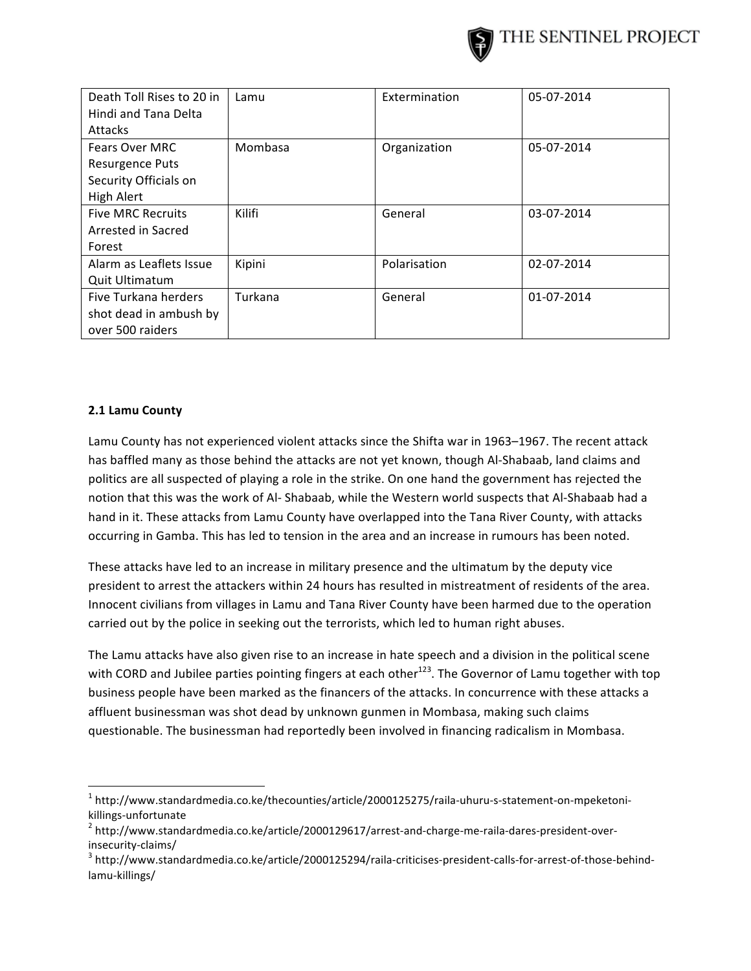

| Death Toll Rises to 20 in | Lamu    | Extermination | 05-07-2014 |
|---------------------------|---------|---------------|------------|
| Hindi and Tana Delta      |         |               |            |
| Attacks                   |         |               |            |
| <b>Fears Over MRC</b>     | Mombasa | Organization  | 05-07-2014 |
| Resurgence Puts           |         |               |            |
| Security Officials on     |         |               |            |
| High Alert                |         |               |            |
| <b>Five MRC Recruits</b>  | Kilifi  | General       | 03-07-2014 |
| Arrested in Sacred        |         |               |            |
| Forest                    |         |               |            |
| Alarm as Leaflets Issue   | Kipini  | Polarisation  | 02-07-2014 |
| <b>Quit Ultimatum</b>     |         |               |            |
| Five Turkana herders      | Turkana | General       | 01-07-2014 |
| shot dead in ambush by    |         |               |            |
| over 500 raiders          |         |               |            |

# **2.1 Lamu County**

!!!!!!!!!!!!!!!!!!!!!!!!!!!!!!!!!!!!!!!!!!!!!!!!!!!!!!!!!!!!

Lamu County has not experienced violent attacks since the Shifta war in 1963–1967. The recent attack has baffled many as those behind the attacks are not yet known, though Al-Shabaab, land claims and politics are all suspected of playing a role in the strike. On one hand the government has rejected the notion that this was the work of Al- Shabaab, while the Western world suspects that Al-Shabaab had a hand in it. These attacks from Lamu County have overlapped into the Tana River County, with attacks occurring in Gamba. This has led to tension in the area and an increase in rumours has been noted.

These attacks have led to an increase in military presence and the ultimatum by the deputy vice president to arrest the attackers within 24 hours has resulted in mistreatment of residents of the area. Innocent civilians from villages in Lamu and Tana River County have been harmed due to the operation carried out by the police in seeking out the terrorists, which led to human right abuses.

The Lamu attacks have also given rise to an increase in hate speech and a division in the political scene with CORD and Jubilee parties pointing fingers at each other<sup>123</sup>. The Governor of Lamu together with top business people have been marked as the financers of the attacks. In concurrence with these attacks a affluent businessman was shot dead by unknown gunmen in Mombasa, making such claims questionable. The businessman had reportedly been involved in financing radicalism in Mombasa.

 $1$ http://www.standardmedia.co.ke/thecounties/article/2000125275/raila-uhuru-s-statement-on-mpeketoni-

killings-unfortunate<br><sup>2</sup> http://www.standardmedia.co.ke/article/2000129617/arrest-and-charge-me-raila-dares-president-overinsecurity-claims/<br><sup>3</sup> http://www.standardmedia.co.ke/article/2000125294/raila-criticises-president-calls-for-arrest-of-those-behind-

lamu-killings/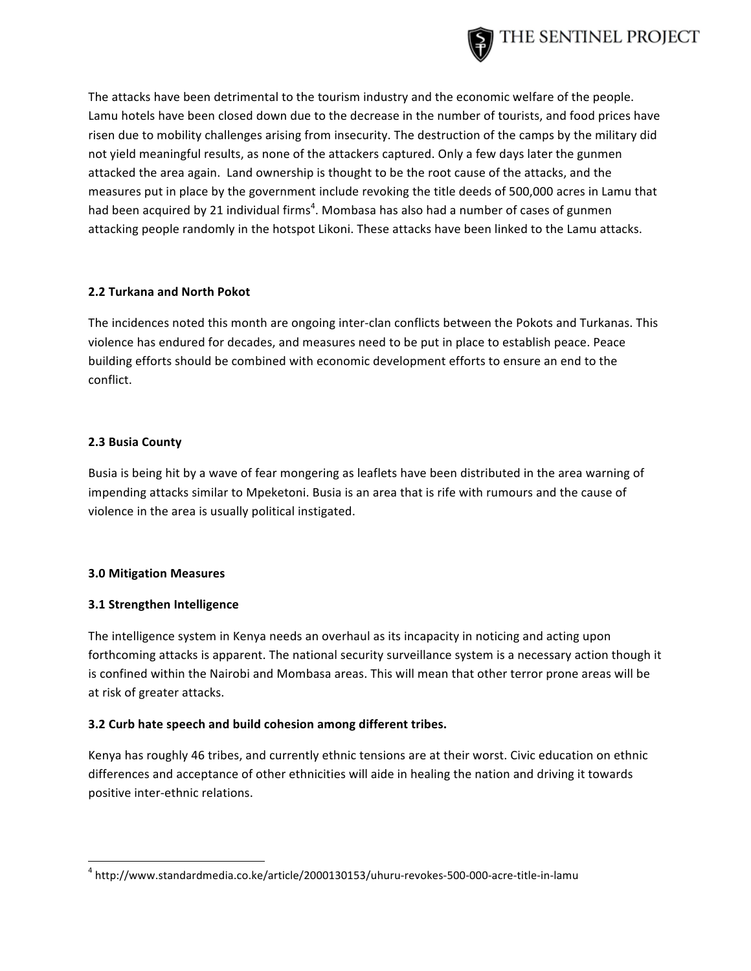

The attacks have been detrimental to the tourism industry and the economic welfare of the people. Lamu hotels have been closed down due to the decrease in the number of tourists, and food prices have risen due to mobility challenges arising from insecurity. The destruction of the camps by the military did not yield meaningful results, as none of the attackers captured. Only a few days later the gunmen attacked the area again. Land ownership is thought to be the root cause of the attacks, and the measures put in place by the government include revoking the title deeds of 500,000 acres in Lamu that had been acquired by 21 individual firms<sup>4</sup>. Mombasa has also had a number of cases of gunmen attacking people randomly in the hotspot Likoni. These attacks have been linked to the Lamu attacks.

#### **2.2 Turkana and North Pokot**

The incidences noted this month are ongoing inter-clan conflicts between the Pokots and Turkanas. This violence has endured for decades, and measures need to be put in place to establish peace. Peace building efforts should be combined with economic development efforts to ensure an end to the conflict.

# **2.3 Busia County**

Busia is being hit by a wave of fear mongering as leaflets have been distributed in the area warning of impending attacks similar to Mpeketoni. Busia is an area that is rife with rumours and the cause of violence in the area is usually political instigated.

# **3.0!Mitigation!Measures**

# **3.1!Strengthen Intelligence**

!!!!!!!!!!!!!!!!!!!!!!!!!!!!!!!!!!!!!!!!!!!!!!!!!!!!!!!!!!!!

The intelligence system in Kenya needs an overhaul as its incapacity in noticing and acting upon forthcoming attacks is apparent. The national security surveillance system is a necessary action though it is confined within the Nairobi and Mombasa areas. This will mean that other terror prone areas will be at risk of greater attacks.

# **3.2 Curb hate speech and build cohesion among different tribes.**

Kenya has roughly 46 tribes, and currently ethnic tensions are at their worst. Civic education on ethnic differences and acceptance of other ethnicities will aide in healing the nation and driving it towards positive inter-ethnic relations.

 $4$  http://www.standardmedia.co.ke/article/2000130153/uhuru-revokes-500-000-acre-title-in-lamu